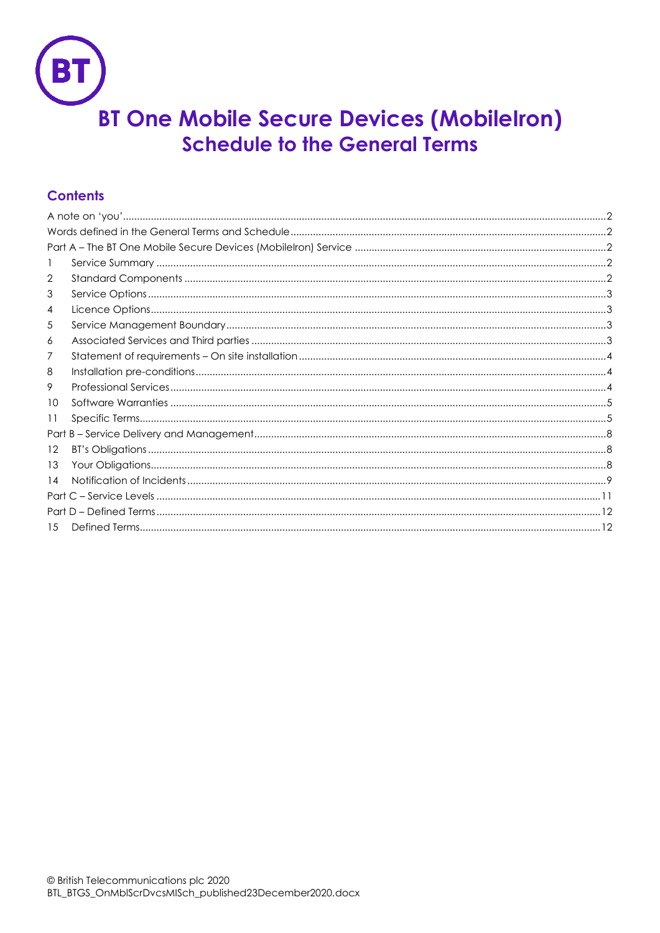

# **Contents**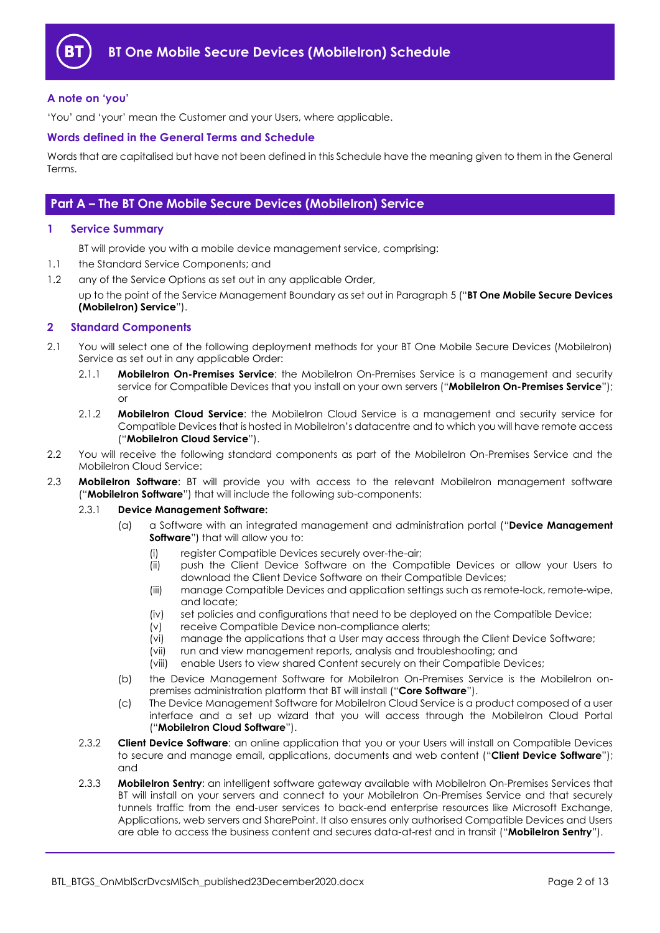

#### <span id="page-1-0"></span>**A note on 'you'**

'You' and 'your' mean the Customer and your Users, where applicable.

#### <span id="page-1-1"></span>**Words defined in the General Terms and Schedule**

Words that are capitalised but have not been defined in this Schedule have the meaning given to them in the General Terms.

## <span id="page-1-2"></span>**Part A – The BT One Mobile Secure Devices (MobileIron) Service**

#### <span id="page-1-3"></span>**1 Service Summary**

BT will provide you with a mobile device management service, comprising:

- 1.1 the Standard Service Components; and
- 1.2 any of the Service Options as set out in any applicable Order, up to the point of the Service Management Boundary as set out in Paragrap[h 5](#page-2-2) ("**BT One Mobile Secure Devices (MobileIron) Service**").

#### <span id="page-1-4"></span>**2 Standard Components**

- <span id="page-1-10"></span>2.1 You will select one of the following deployment methods for your BT One Mobile Secure Devices (MobileIron) Service as set out in any applicable Order:
	- 2.1.1 **MobileIron On-Premises Service**: the MobileIron On-Premises Service is a management and security service for Compatible Devices that you install on your own servers ("**MobileIron On-Premises Service**"); or
	- 2.1.2 **MobileIron Cloud Service**: the MobileIron Cloud Service is a management and security service for Compatible Devices that is hosted in MobileIron's datacentre and to which you will have remote access ("**MobileIron Cloud Service**").
- <span id="page-1-8"></span>2.2 You will receive the following standard components as part of the MobileIron On-Premises Service and the MobileIron Cloud Service:
- <span id="page-1-12"></span><span id="page-1-7"></span>2.3 **MobileIron Software**: BT will provide you with access to the relevant MobileIron management software ("**MobileIron Software**") that will include the following sub-components:

#### 2.3.1 **Device Management Software:**

- (a) a Software with an integrated management and administration portal ("**Device Management Software**") that will allow you to:
	- (i) register Compatible Devices securely over-the-air;
	- (ii) push the Client Device Software on the Compatible Devices or allow your Users to download the Client Device Software on their Compatible Devices;
	- (iii) manage Compatible Devices and application settings such as remote-lock, remote-wipe, and locate;
	- (iv) set policies and configurations that need to be deployed on the Compatible Device;
	- (v) receive Compatible Device non-compliance alerts;<br>(vi) manage the applications that a User may access the
	- manage the applications that a User may access through the Client Device Software;
	- (vii) run and view management reports, analysis and troubleshooting; and
	- (viii) enable Users to view shared Content securely on their Compatible Devices;
- (b) the Device Management Software for MobileIron On-Premises Service is the MobileIron onpremises administration platform that BT will install ("**Core Software**").
- (c) The Device Management Software for MobileIron Cloud Service is a product composed of a user interface and a set up wizard that you will access through the MobileIron Cloud Portal ("**MobileIron Cloud Software**").
- <span id="page-1-9"></span><span id="page-1-6"></span><span id="page-1-5"></span>2.3.2 **Client Device Software**: an online application that you or your Users will install on Compatible Devices to secure and manage email, applications, documents and web content ("**Client Device Software**"); and
- <span id="page-1-11"></span>2.3.3 **MobileIron Sentry**: an intelligent software gateway available with MobileIron On-Premises Services that BT will install on your servers and connect to your MobileIron On-Premises Service and that securely tunnels traffic from the end-user services to back-end enterprise resources like Microsoft Exchange, Applications, web servers and SharePoint. It also ensures only authorised Compatible Devices and Users are able to access the business content and secures data-at-rest and in transit ("**MobileIron Sentry**").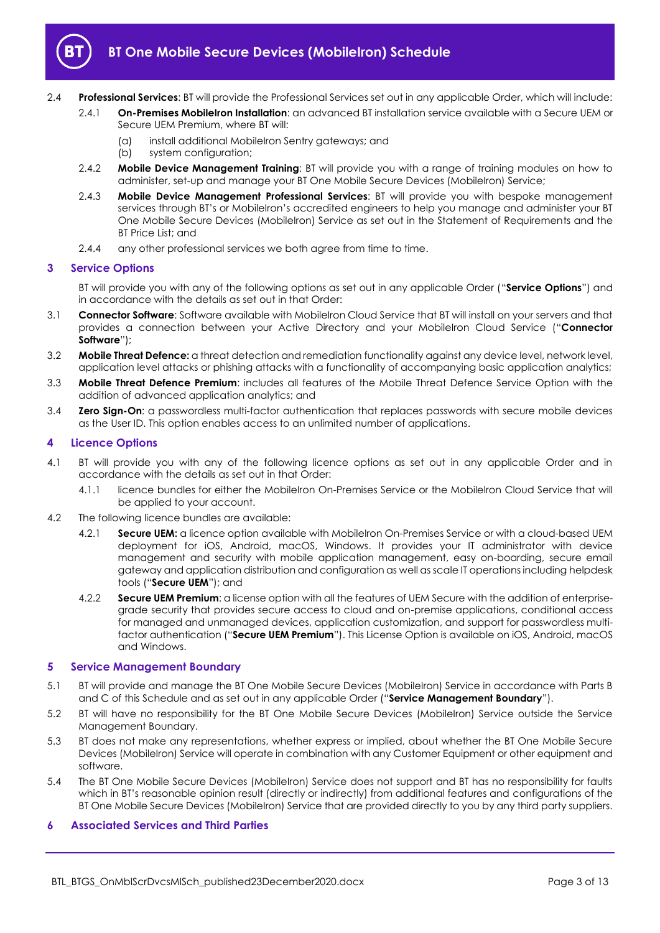

- 2.4 **Professional Services**: BT will provide the Professional Services set out in any applicable Order, which will include:
	- 2.4.1 **On-Premises MobileIron Installation**: an advanced BT installation service available with a Secure UEM or Secure UEM Premium, where BT will:
		- (a) install additional MobileIron Sentry gateways; and
		- (b) system configuration;
	- 2.4.2 **Mobile Device Management Training**: BT will provide you with a range of training modules on how to administer, set-up and manage your BT One Mobile Secure Devices (MobileIron) Service;
	- 2.4.3 **Mobile Device Management Professional Services**: BT will provide you with bespoke management services through BT's or MobileIron's accredited engineers to help you manage and administer your BT One Mobile Secure Devices (MobileIron) Service as set out in the Statement of Requirements and the BT Price List; and
	- 2.4.4 any other professional services we both agree from time to time.

## <span id="page-2-0"></span>**3 Service Options**

BT will provide you with any of the following options as set out in any applicable Order ("**Service Options**") and in accordance with the details as set out in that Order:

- <span id="page-2-4"></span>3.1 **Connector Software**: Software available with MobileIron Cloud Service that BT will install on your servers and that provides a connection between your Active Directory and your MobileIron Cloud Service ("**Connector Software**");
- 3.2 **Mobile Threat Defence:** a threat detection and remediation functionality against any device level, network level, application level attacks or phishing attacks with a functionality of accompanying basic application analytics;
- 3.3 **Mobile Threat Defence Premium**: includes all features of the Mobile Threat Defence Service Option with the addition of advanced application analytics; and
- 3.4 **Zero Sign-On**: a passwordless multi-factor authentication that replaces passwords with secure mobile devices as the User ID. This option enables access to an unlimited number of applications.

## <span id="page-2-1"></span>**4 Licence Options**

- 4.1 BT will provide you with any of the following licence options as set out in any applicable Order and in accordance with the details as set out in that Order:
	- 4.1.1 licence bundles for either the MobileIron On-Premises Service or the MobileIron Cloud Service that will be applied to your account.
- <span id="page-2-5"></span>4.2 The following licence bundles are available:
	- 4.2.1 **Secure UEM:** a licence option available with MobileIron On-Premises Service or with a cloud-based UEM deployment for iOS, Android, macOS, Windows. It provides your IT administrator with device management and security with mobile application management, easy on-boarding, secure email gateway and application distribution and configuration as well as scale IT operations including helpdesk tools ("**Secure UEM**"); and
	- 4.2.2 **Secure UEM Premium**: a license option with all the features of UEM Secure with the addition of enterprisegrade security that provides secure access to cloud and on-premise applications, conditional access for managed and unmanaged devices, application customization, and support for passwordless multifactor authentication ("**Secure UEM Premium**"). This License Option is available on iOS, Android, macOS and Windows.

#### <span id="page-2-6"></span><span id="page-2-2"></span>**5 Service Management Boundary**

- <span id="page-2-7"></span>5.1 BT will provide and manage the BT One Mobile Secure Devices (MobileIron) Service in accordance with Parts B and C of this Schedule and as set out in any applicable Order ("**Service Management Boundary**").
- 5.2 BT will have no responsibility for the BT One Mobile Secure Devices (MobileIron) Service outside the Service Management Boundary.
- 5.3 BT does not make any representations, whether express or implied, about whether the BT One Mobile Secure Devices (MobileIron) Service will operate in combination with any Customer Equipment or other equipment and software.
- 5.4 The BT One Mobile Secure Devices (MobileIron) Service does not support and BT has no responsibility for faults which in BT's reasonable opinion result (directly or indirectly) from additional features and configurations of the BT One Mobile Secure Devices (MobileIron) Service that are provided directly to you by any third party suppliers.

## <span id="page-2-3"></span>**6 Associated Services and Third Parties**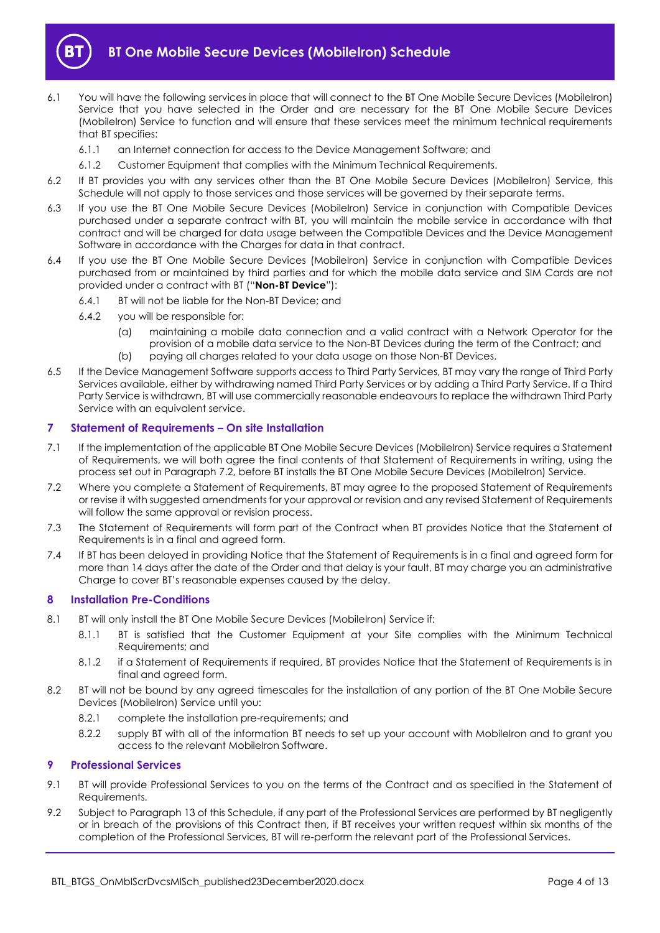

- 6.1 You will have the following services in place that will connect to the BT One Mobile Secure Devices (MobileIron) Service that you have selected in the Order and are necessary for the BT One Mobile Secure Devices (MobileIron) Service to function and will ensure that these services meet the minimum technical requirements that BT specifies:
	- 6.1.1 an Internet connection for access to the Device Management Software; and
	- 6.1.2 Customer Equipment that complies with the Minimum Technical Requirements.
- 6.2 If BT provides you with any services other than the BT One Mobile Secure Devices (MobileIron) Service, this Schedule will not apply to those services and those services will be governed by their separate terms.
- 6.3 If you use the BT One Mobile Secure Devices (MobileIron) Service in conjunction with Compatible Devices purchased under a separate contract with BT, you will maintain the mobile service in accordance with that contract and will be charged for data usage between the Compatible Devices and the Device Management Software in accordance with the Charges for data in that contract.
- <span id="page-3-5"></span>6.4 If you use the BT One Mobile Secure Devices (MobileIron) Service in conjunction with Compatible Devices purchased from or maintained by third parties and for which the mobile data service and SIM Cards are not provided under a contract with BT ("**Non-BT Device**"):
	- 6.4.1 BT will not be liable for the Non-BT Device; and
	- 6.4.2 you will be responsible for:
		- (a) maintaining a mobile data connection and a valid contract with a Network Operator for the provision of a mobile data service to the Non-BT Devices during the term of the Contract; and
		- (b) paying all charges related to your data usage on those Non-BT Devices.
- 6.5 If the Device Management Software supports access to Third Party Services, BT may vary the range of Third Party Services available, either by withdrawing named Third Party Services or by adding a Third Party Service. If a Third Party Service is withdrawn, BT will use commercially reasonable endeavours to replace the withdrawn Third Party Service with an equivalent service.

## <span id="page-3-0"></span>**7 Statement of Requirements – On site Installation**

- 7.1 If the implementation of the applicable BT One Mobile Secure Devices (MobileIron) Service requires a Statement of Requirements, we will both agree the final contents of that Statement of Requirements in writing, using the process set out in Paragrap[h 7.2,](#page-3-3) before BT installs the BT One Mobile Secure Devices (MobileIron) Service.
- <span id="page-3-3"></span>7.2 Where you complete a Statement of Requirements, BT may agree to the proposed Statement of Requirements or revise it with suggested amendments for your approval or revision and any revised Statement of Requirements will follow the same approval or revision process.
- 7.3 The Statement of Requirements will form part of the Contract when BT provides Notice that the Statement of Requirements is in a final and agreed form.
- 7.4 If BT has been delayed in providing Notice that the Statement of Requirements is in a final and agreed form for more than 14 days after the date of the Order and that delay is your fault, BT may charge you an administrative Charge to cover BT's reasonable expenses caused by the delay.

## <span id="page-3-1"></span>**8 Installation Pre-Conditions**

- 8.1 BT will only install the BT One Mobile Secure Devices (MobileIron) Service if:
	- 8.1.1 BT is satisfied that the Customer Equipment at your Site complies with the Minimum Technical Requirements; and
	- 8.1.2 if a Statement of Requirements if required, BT provides Notice that the Statement of Requirements is in final and agreed form.
- 8.2 BT will not be bound by any agreed timescales for the installation of any portion of the BT One Mobile Secure Devices (MobileIron) Service until you:
	- 8.2.1 complete the installation pre-requirements; and
	- 8.2.2 supply BT with all of the information BT needs to set up your account with MobileIron and to grant you access to the relevant MobileIron Software.

## <span id="page-3-2"></span>**9 Professional Services**

- 9.1 BT will provide Professional Services to you on the terms of the Contract and as specified in the Statement of Requirements.
- <span id="page-3-4"></span>9.2 Subject to Paragraph [13](#page-7-2) of this Schedule, if any part of the Professional Services are performed by BT negligently or in breach of the provisions of this Contract then, if BT receives your written request within six months of the completion of the Professional Services, BT will re-perform the relevant part of the Professional Services.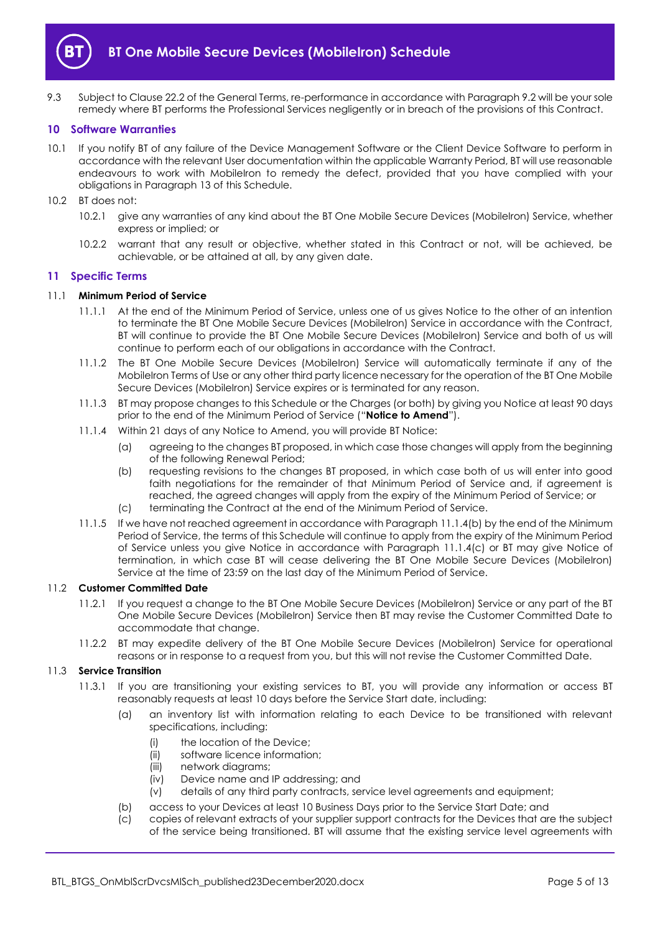

9.3 Subject to Clause 22.2 of the General Terms, re-performance in accordance with Paragraph [9.2](#page-3-4) will be your sole remedy where BT performs the Professional Services negligently or in breach of the provisions of this Contract.

#### <span id="page-4-0"></span>**10 Software Warranties**

- 10.1 If you notify BT of any failure of the Device Management Software or the Client Device Software to perform in accordance with the relevant User documentation within the applicable Warranty Period, BT will use reasonable endeavours to work with MobileIron to remedy the defect, provided that you have complied with your obligations in Paragraph [13](#page-7-2) of this Schedule.
- 10.2 BT does not:
	- 10.2.1 give any warranties of any kind about the BT One Mobile Secure Devices (MobileIron) Service, whether express or implied; or
	- 10.2.2 warrant that any result or objective, whether stated in this Contract or not, will be achieved, be achievable, or be attained at all, by any given date.

#### <span id="page-4-1"></span>**11 Specific Terms**

#### 11.1 **Minimum Period of Service**

- 11.1.1 At the end of the Minimum Period of Service, unless one of us gives Notice to the other of an intention to terminate the BT One Mobile Secure Devices (MobileIron) Service in accordance with the Contract, BT will continue to provide the BT One Mobile Secure Devices (MobileIron) Service and both of us will continue to perform each of our obligations in accordance with the Contract.
- 11.1.2 The BT One Mobile Secure Devices (MobileIron) Service will automatically terminate if any of the MobileIron Terms of Use or any other third party licence necessary for the operation of the BT One Mobile Secure Devices (MobileIron) Service expires or is terminated for any reason.
- <span id="page-4-5"></span>11.1.3 BT may propose changes to this Schedule or the Charges (or both) by giving you Notice at least 90 days prior to the end of the Minimum Period of Service ("**Notice to Amend**").
- <span id="page-4-2"></span>11.1.4 Within 21 days of any Notice to Amend, you will provide BT Notice:
	- (a) agreeing to the changes BT proposed, in which case those changes will apply from the beginning of the following Renewal Period;
	- (b) requesting revisions to the changes BT proposed, in which case both of us will enter into good faith negotiations for the remainder of that Minimum Period of Service and, if agreement is reached, the agreed changes will apply from the expiry of the Minimum Period of Service; or
	- (c) terminating the Contract at the end of the Minimum Period of Service.
- <span id="page-4-3"></span>11.1.5 If we have not reached agreement in accordance with Paragrap[h 11.1.4\(b\)](#page-4-2) by the end of the Minimum Period of Service, the terms of this Schedule will continue to apply from the expiry of the Minimum Period of Service unless you give Notice in accordance with Paragraph [11.1.4\(c\)](#page-4-3) or BT may give Notice of termination, in which case BT will cease delivering the BT One Mobile Secure Devices (MobileIron) Service at the time of 23:59 on the last day of the Minimum Period of Service.

#### 11.2 **Customer Committed Date**

- 11.2.1 If you request a change to the BT One Mobile Secure Devices (MobileIron) Service or any part of the BT One Mobile Secure Devices (MobileIron) Service then BT may revise the Customer Committed Date to accommodate that change.
- 11.2.2 BT may expedite delivery of the BT One Mobile Secure Devices (MobileIron) Service for operational reasons or in response to a request from you, but this will not revise the Customer Committed Date.

#### <span id="page-4-4"></span>11.3 **Service Transition**

- 11.3.1 If you are transitioning your existing services to BT, you will provide any information or access BT reasonably requests at least 10 days before the Service Start date, including:
	- (a) an inventory list with information relating to each Device to be transitioned with relevant specifications, including:
		- (i) the location of the Device;
		- (ii) software licence information;
		- (iii) network diagrams;
		- (iv) Device name and IP addressing; and
		- (v) details of any third party contracts, service level agreements and equipment;
	- (b) access to your Devices at least 10 Business Days prior to the Service Start Date; and
	- (c) copies of relevant extracts of your supplier support contracts for the Devices that are the subject of the service being transitioned. BT will assume that the existing service level agreements with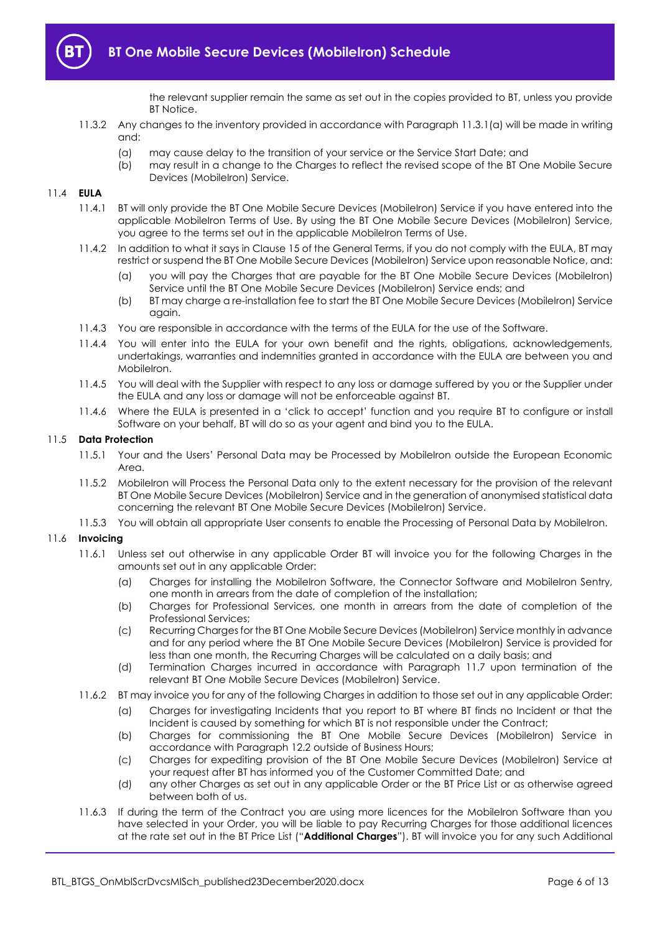

the relevant supplier remain the same as set out in the copies provided to BT, unless you provide BT Notice.

- 11.3.2 Any changes to the inventory provided in accordance with Paragraph [11.3.1\(a\)](#page-4-4) will be made in writing and:
	- (a) may cause delay to the transition of your service or the Service Start Date; and
	- (b) may result in a change to the Charges to reflect the revised scope of the BT One Mobile Secure Devices (MobileIron) Service.

#### 11.4 **EULA**

- 11.4.1 BT will only provide the BT One Mobile Secure Devices (MobileIron) Service if you have entered into the applicable MobileIron Terms of Use. By using the BT One Mobile Secure Devices (MobileIron) Service, you agree to the terms set out in the applicable MobileIron Terms of Use.
- 11.4.2 In addition to what it says in Clause 15 of the General Terms, if you do not comply with the EULA, BT may restrict or suspend the BT One Mobile Secure Devices (MobileIron) Service upon reasonable Notice, and:
	- (a) you will pay the Charges that are payable for the BT One Mobile Secure Devices (MobileIron) Service until the BT One Mobile Secure Devices (MobileIron) Service ends; and
	- (b) BT may charge a re-installation fee to start the BT One Mobile Secure Devices (MobileIron) Service again.
- 11.4.3 You are responsible in accordance with the terms of the EULA for the use of the Software.
- 11.4.4 You will enter into the EULA for your own benefit and the rights, obligations, acknowledgements, undertakings, warranties and indemnities granted in accordance with the EULA are between you and MobileIron.
- 11.4.5 You will deal with the Supplier with respect to any loss or damage suffered by you or the Supplier under the EULA and any loss or damage will not be enforceable against BT.
- 11.4.6 Where the EULA is presented in a 'click to accept' function and you require BT to configure or install Software on your behalf, BT will do so as your agent and bind you to the EULA.

#### 11.5 **Data Protection**

- 11.5.1 Your and the Users' Personal Data may be Processed by MobileIron outside the European Economic Area
- 11.5.2 MobileIron will Process the Personal Data only to the extent necessary for the provision of the relevant BT One Mobile Secure Devices (MobileIron) Service and in the generation of anonymised statistical data concerning the relevant BT One Mobile Secure Devices (MobileIron) Service.
- 11.5.3 You will obtain all appropriate User consents to enable the Processing of Personal Data by MobileIron.

#### 11.6 **Invoicing**

- 11.6.1 Unless set out otherwise in any applicable Order BT will invoice you for the following Charges in the amounts set out in any applicable Order:
	- (a) Charges for installing the MobileIron Software, the Connector Software and MobileIron Sentry, one month in arrears from the date of completion of the installation;
	- (b) Charges for Professional Services, one month in arrears from the date of completion of the Professional Services;
	- (c) Recurring Charges for the BT One Mobile Secure Devices (MobileIron) Service monthly in advance and for any period where the BT One Mobile Secure Devices (MobileIron) Service is provided for less than one month, the Recurring Charges will be calculated on a daily basis; and
	- (d) Termination Charges incurred in accordance with Paragraph [11.7](#page-6-0) upon termination of the relevant BT One Mobile Secure Devices (MobileIron) Service.
- <span id="page-5-1"></span><span id="page-5-0"></span>11.6.2 BT may invoice you for any of the following Charges in addition to those set out in any applicable Order:
	- (a) Charges for investigating Incidents that you report to BT where BT finds no Incident or that the Incident is caused by something for which BT is not responsible under the Contract;
	- (b) Charges for commissioning the BT One Mobile Secure Devices (MobileIron) Service in accordance with Paragrap[h 12.2](#page-7-3) outside of Business Hours;
	- (c) Charges for expediting provision of the BT One Mobile Secure Devices (MobileIron) Service at your request after BT has informed you of the Customer Committed Date; and
	- (d) any other Charges as set out in any applicable Order or the BT Price List or as otherwise agreed between both of us.
- 11.6.3 If during the term of the Contract you are using more licences for the MobileIron Software than you have selected in your Order, you will be liable to pay Recurring Charges for those additional licences at the rate set out in the BT Price List ("**Additional Charges**"). BT will invoice you for any such Additional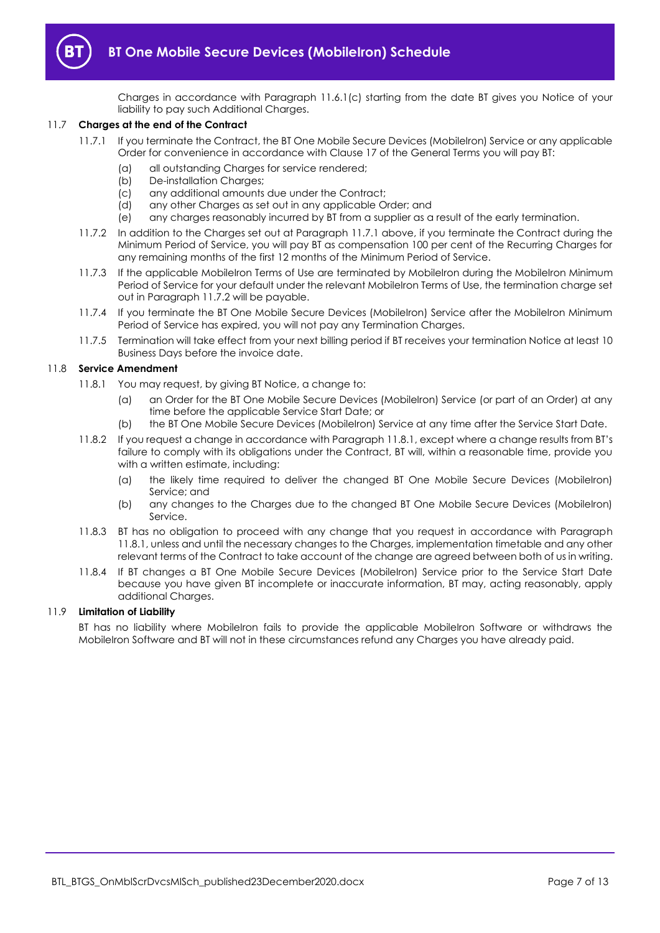

Charges in accordance with Paragraph [11.6.1\(c\)](#page-5-0) starting from the date BT gives you Notice of your liability to pay such Additional Charges.

#### <span id="page-6-1"></span><span id="page-6-0"></span>11.7 **Charges at the end of the Contract**

- 11.7.1 If you terminate the Contract, the BT One Mobile Secure Devices (MobileIron) Service or any applicable Order for convenience in accordance with Clause 17 of the General Terms you will pay BT:
	- (a) all outstanding Charges for service rendered;
	- (b) De-installation Charges;
	- (c) any additional amounts due under the Contract;
	- (d) any other Charges as set out in any applicable Order; and
	- (e) any charges reasonably incurred by BT from a supplier as a result of the early termination.
- <span id="page-6-2"></span>11.7.2 In addition to the Charges set out at Paragrap[h 11.7.1](#page-6-1) above, if you terminate the Contract during the Minimum Period of Service, you will pay BT as compensation 100 per cent of the Recurring Charges for any remaining months of the first 12 months of the Minimum Period of Service.
- 11.7.3 If the applicable MobileIron Terms of Use are terminated by MobileIron during the MobileIron Minimum Period of Service for your default under the relevant MobileIron Terms of Use, the termination charge set out in Paragrap[h 11.7.2](#page-6-2) will be payable.
- 11.7.4 If you terminate the BT One Mobile Secure Devices (MobileIron) Service after the MobileIron Minimum Period of Service has expired, you will not pay any Termination Charges.
- 11.7.5 Termination will take effect from your next billing period if BT receives your termination Notice at least 10 Business Days before the invoice date.

## <span id="page-6-3"></span>11.8 **Service Amendment**

- 11.8.1 You may request, by giving BT Notice, a change to:
	- (a) an Order for the BT One Mobile Secure Devices (MobileIron) Service (or part of an Order) at any time before the applicable Service Start Date; or
	- (b) the BT One Mobile Secure Devices (MobileIron) Service at any time after the Service Start Date.
- 11.8.2 If you request a change in accordance with Paragraph [11.8.1](#page-6-3), except where a change results from BT's failure to comply with its obligations under the Contract, BT will, within a reasonable time, provide you with a written estimate, including:
	- (a) the likely time required to deliver the changed BT One Mobile Secure Devices (MobileIron) Service; and
	- (b) any changes to the Charges due to the changed BT One Mobile Secure Devices (MobileIron) Service.
- 11.8.3 BT has no obligation to proceed with any change that you request in accordance with Paragraph [11.8.1,](#page-6-3) unless and until the necessary changes to the Charges, implementation timetable and any other relevant terms of the Contract to take account of the change are agreed between both of us in writing.
- 11.8.4 If BT changes a BT One Mobile Secure Devices (MobileIron) Service prior to the Service Start Date because you have given BT incomplete or inaccurate information, BT may, acting reasonably, apply additional Charges.

#### 11.9 **Limitation of Liability**

BT has no liability where MobileIron fails to provide the applicable MobileIron Software or withdraws the MobileIron Software and BT will not in these circumstances refund any Charges you have already paid.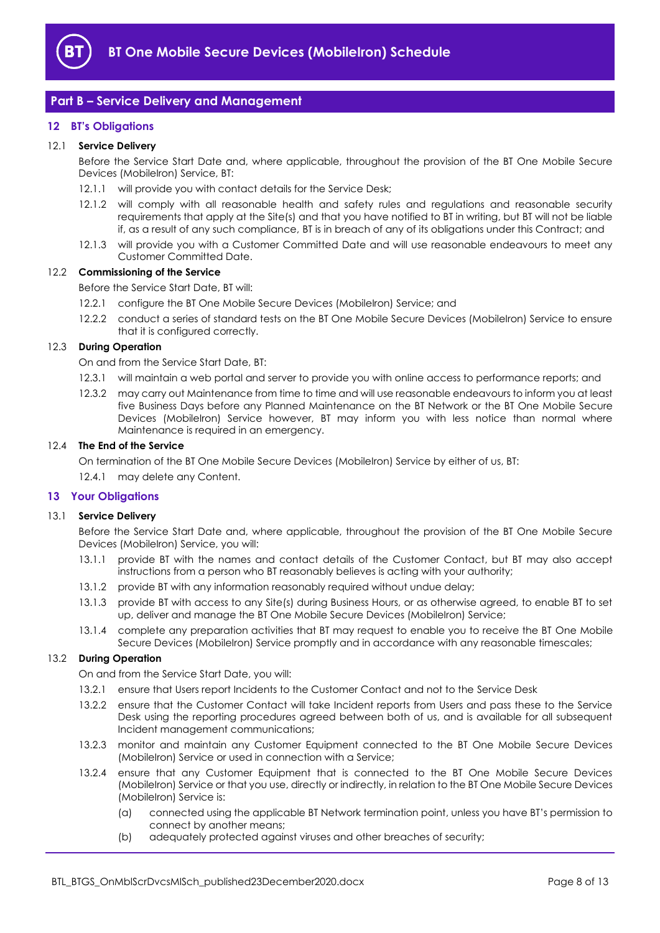

## <span id="page-7-0"></span>**Part B – Service Delivery and Management**

## <span id="page-7-1"></span>**12 BT's Obligations**

#### 12.1 **Service Delivery**

Before the Service Start Date and, where applicable, throughout the provision of the BT One Mobile Secure Devices (MobileIron) Service, BT:

- 12.1.1 will provide you with contact details for the Service Desk;
- 12.1.2 will comply with all reasonable health and safety rules and regulations and reasonable security requirements that apply at the Site(s) and that you have notified to BT in writing, but BT will not be liable if, as a result of any such compliance, BT is in breach of any of its obligations under this Contract; and
- 12.1.3 will provide you with a Customer Committed Date and will use reasonable endeavours to meet any Customer Committed Date.

#### <span id="page-7-3"></span>12.2 **Commissioning of the Service**

- Before the Service Start Date, BT will:
- 12.2.1 configure the BT One Mobile Secure Devices (MobileIron) Service; and
- 12.2.2 conduct a series of standard tests on the BT One Mobile Secure Devices (MobileIron) Service to ensure that it is configured correctly.

## 12.3 **During Operation**

On and from the Service Start Date, BT:

- 12.3.1 will maintain a web portal and server to provide you with online access to performance reports; and
- 12.3.2 may carry out Maintenance from time to time and will use reasonable endeavours to inform you at least five Business Days before any Planned Maintenance on the BT Network or the BT One Mobile Secure Devices (MobileIron) Service however, BT may inform you with less notice than normal where Maintenance is required in an emergency.

## 12.4 **The End of the Service**

On termination of the BT One Mobile Secure Devices (MobileIron) Service by either of us, BT:

12.4.1 may delete any Content.

#### <span id="page-7-2"></span>**13 Your Obligations**

#### 13.1 **Service Delivery**

Before the Service Start Date and, where applicable, throughout the provision of the BT One Mobile Secure Devices (MobileIron) Service, you will:

- 13.1.1 provide BT with the names and contact details of the Customer Contact, but BT may also accept instructions from a person who BT reasonably believes is acting with your authority;
- 13.1.2 provide BT with any information reasonably required without undue delay;
- 13.1.3 provide BT with access to any Site(s) during Business Hours, or as otherwise agreed, to enable BT to set up, deliver and manage the BT One Mobile Secure Devices (MobileIron) Service;
- 13.1.4 complete any preparation activities that BT may request to enable you to receive the BT One Mobile Secure Devices (MobileIron) Service promptly and in accordance with any reasonable timescales;

#### 13.2 **During Operation**

On and from the Service Start Date, you will:

- 13.2.1 ensure that Users report Incidents to the Customer Contact and not to the Service Desk
- 13.2.2 ensure that the Customer Contact will take Incident reports from Users and pass these to the Service Desk using the reporting procedures agreed between both of us, and is available for all subsequent Incident management communications;
- 13.2.3 monitor and maintain any Customer Equipment connected to the BT One Mobile Secure Devices (MobileIron) Service or used in connection with a Service;
- 13.2.4 ensure that any Customer Equipment that is connected to the BT One Mobile Secure Devices (MobileIron) Service or that you use, directly or indirectly, in relation to the BT One Mobile Secure Devices (MobileIron) Service is:
	- (a) connected using the applicable BT Network termination point, unless you have BT's permission to connect by another means;
	- (b) adequately protected against viruses and other breaches of security;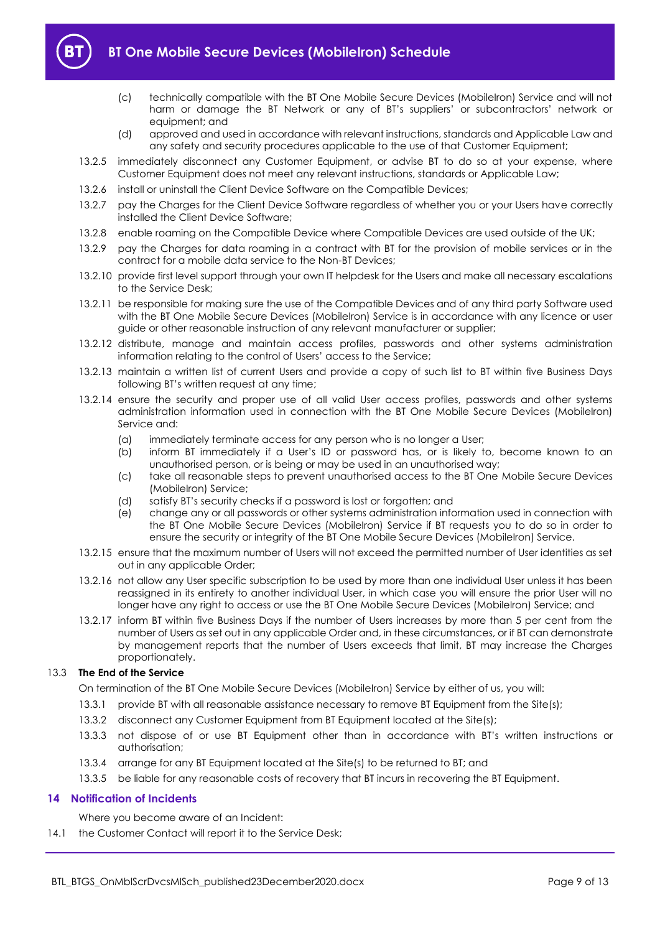

- (c) technically compatible with the BT One Mobile Secure Devices (MobileIron) Service and will not harm or damage the BT Network or any of BT's suppliers' or subcontractors' network or equipment; and
- (d) approved and used in accordance with relevant instructions, standards and Applicable Law and any safety and security procedures applicable to the use of that Customer Equipment;
- 13.2.5 immediately disconnect any Customer Equipment, or advise BT to do so at your expense, where Customer Equipment does not meet any relevant instructions, standards or Applicable Law;
- 13.2.6 install or uninstall the Client Device Software on the Compatible Devices;
- 13.2.7 pay the Charges for the Client Device Software regardless of whether you or your Users have correctly installed the Client Device Software;
- 13.2.8 enable roaming on the Compatible Device where Compatible Devices are used outside of the UK;
- 13.2.9 pay the Charges for data roaming in a contract with BT for the provision of mobile services or in the contract for a mobile data service to the Non-BT Devices;
- 13.2.10 provide first level support through your own IT helpdesk for the Users and make all necessary escalations to the Service Desk;
- 13.2.11 be responsible for making sure the use of the Compatible Devices and of any third party Software used with the BT One Mobile Secure Devices (MobileIron) Service is in accordance with any licence or user guide or other reasonable instruction of any relevant manufacturer or supplier;
- 13.2.12 distribute, manage and maintain access profiles, passwords and other systems administration information relating to the control of Users' access to the Service;
- 13.2.13 maintain a written list of current Users and provide a copy of such list to BT within five Business Days following BT's written request at any time;
- 13.2.14 ensure the security and proper use of all valid User access profiles, passwords and other systems administration information used in connection with the BT One Mobile Secure Devices (MobileIron) Service and:
	- (a) immediately terminate access for any person who is no longer a User;
	- (b) inform BT immediately if a User's ID or password has, or is likely to, become known to an unauthorised person, or is being or may be used in an unauthorised way;
	- (c) take all reasonable steps to prevent unauthorised access to the BT One Mobile Secure Devices (MobileIron) Service;
	- (d) satisfy BT's security checks if a password is lost or forgotten; and
	- (e) change any or all passwords or other systems administration information used in connection with the BT One Mobile Secure Devices (MobileIron) Service if BT requests you to do so in order to ensure the security or integrity of the BT One Mobile Secure Devices (MobileIron) Service.
- 13.2.15 ensure that the maximum number of Users will not exceed the permitted number of User identities as set out in any applicable Order;
- 13.2.16 not allow any User specific subscription to be used by more than one individual User unless it has been reassigned in its entirety to another individual User, in which case you will ensure the prior User will no longer have any right to access or use the BT One Mobile Secure Devices (MobileIron) Service; and
- 13.2.17 inform BT within five Business Days if the number of Users increases by more than 5 per cent from the number of Users as set out in any applicable Order and, in these circumstances, or if BT can demonstrate by management reports that the number of Users exceeds that limit, BT may increase the Charges proportionately.

## 13.3 **The End of the Service**

On termination of the BT One Mobile Secure Devices (MobileIron) Service by either of us, you will:

- 13.3.1 provide BT with all reasonable assistance necessary to remove BT Equipment from the Site(s);
- 13.3.2 disconnect any Customer Equipment from BT Equipment located at the Site(s);
- 13.3.3 not dispose of or use BT Equipment other than in accordance with BT's written instructions or authorisation;
- 13.3.4 arrange for any BT Equipment located at the Site(s) to be returned to BT; and
- 13.3.5 be liable for any reasonable costs of recovery that BT incurs in recovering the BT Equipment.

#### <span id="page-8-0"></span>**14 Notification of Incidents**

Where you become aware of an Incident:

14.1 the Customer Contact will report it to the Service Desk;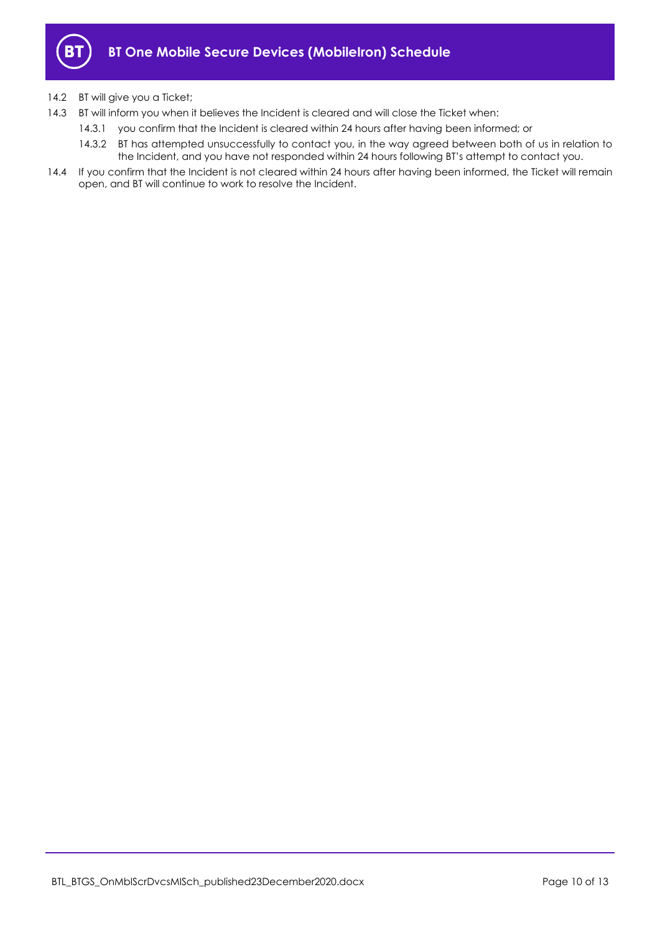

## 14.2 BT will give you a Ticket;

- 14.3 BT will inform you when it believes the Incident is cleared and will close the Ticket when:
	- 14.3.1 you confirm that the Incident is cleared within 24 hours after having been informed; or
	- 14.3.2 BT has attempted unsuccessfully to contact you, in the way agreed between both of us in relation to the Incident, and you have not responded within 24 hours following BT's attempt to contact you.
- 14.4 If you confirm that the Incident is not cleared within 24 hours after having been informed, the Ticket will remain open, and BT will continue to work to resolve the Incident.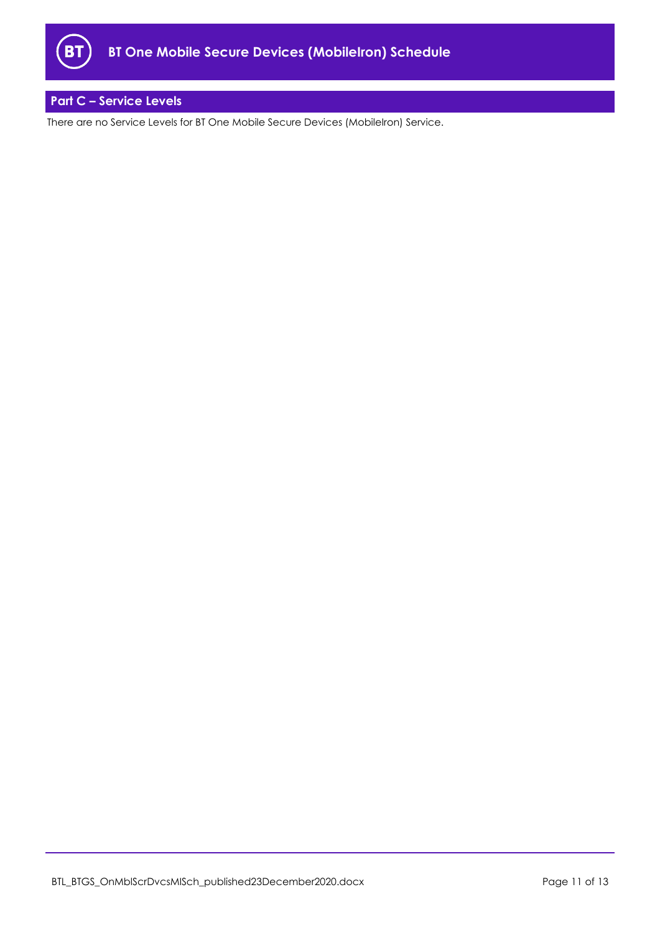

# <span id="page-10-0"></span>**Part C – Service Levels**

There are no Service Levels for BT One Mobile Secure Devices (MobileIron) Service.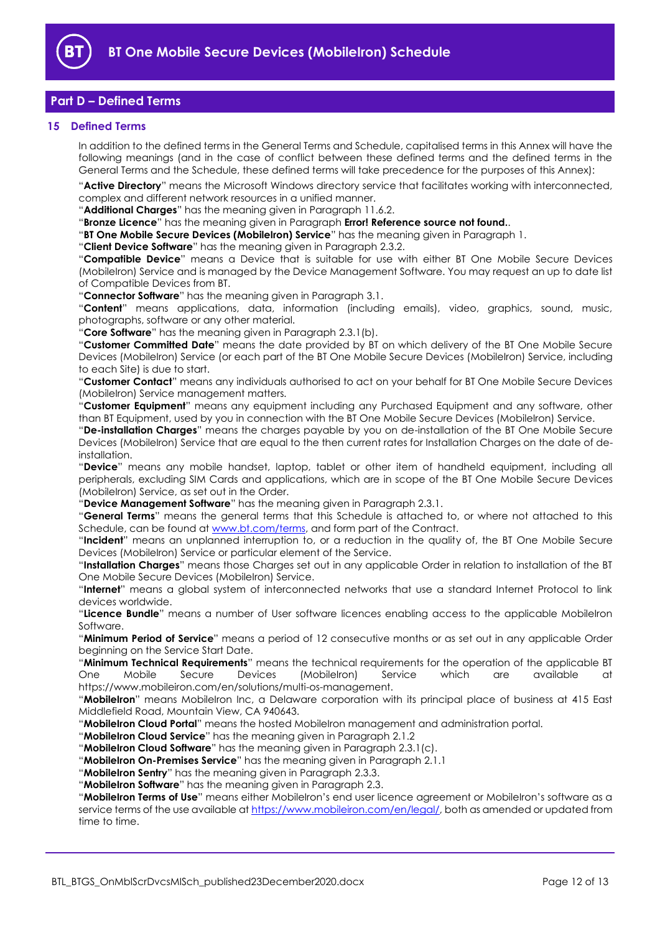

# <span id="page-11-0"></span>**Part D – Defined Terms**

#### <span id="page-11-1"></span>**15 Defined Terms**

In addition to the defined terms in the General Terms and Schedule, capitalised terms in this Annex will have the following meanings (and in the case of conflict between these defined terms and the defined terms in the General Terms and the Schedule, these defined terms will take precedence for the purposes of this Annex):

"**Active Directory**" means the Microsoft Windows directory service that facilitates working with interconnected, complex and different network resources in a unified manner.

"**Additional Charges**" has the meaning given in Paragrap[h 11.6.2.](#page-5-1)

"**Bronze Licence**" has the meaning given in Paragraph **Error! Reference source not found.**.

"**BT One Mobile Secure Devices (MobileIron) Service**" has the meaning given in Paragraph [1.](#page-1-3)

"**Client Device Software**" has the meaning given in Paragraph [2.3.2.](#page-1-5)

"**Compatible Device**" means a Device that is suitable for use with either BT One Mobile Secure Devices (MobileIron) Service and is managed by the Device Management Software. You may request an up to date list of Compatible Devices from BT.

"**Connector Software**" has the meaning given in Paragrap[h 3.1.](#page-2-4)

"**Content**" means applications, data, information (including emails), video, graphics, sound, music, photographs, software or any other material.

"**Core Software**" has the meaning given in Paragrap[h 2.3.1\(b\).](#page-1-6)

"**Customer Committed Date**" means the date provided by BT on which delivery of the BT One Mobile Secure Devices (MobileIron) Service (or each part of the BT One Mobile Secure Devices (MobileIron) Service, including to each Site) is due to start.

"**Customer Contact**" means any individuals authorised to act on your behalf for BT One Mobile Secure Devices (MobileIron) Service management matters.

"**Customer Equipment**" means any equipment including any Purchased Equipment and any software, other than BT Equipment, used by you in connection with the BT One Mobile Secure Devices (MobileIron) Service.

"**De-installation Charges**" means the charges payable by you on de-installation of the BT One Mobile Secure Devices (MobileIron) Service that are equal to the then current rates for Installation Charges on the date of deinstallation.

"**Device**" means any mobile handset, laptop, tablet or other item of handheld equipment, including all peripherals, excluding SIM Cards and applications, which are in scope of the BT One Mobile Secure Devices (MobileIron) Service, as set out in the Order.

"**Device Management Software**" has the meaning given in Paragraph [2.3.1.](#page-1-7)

"**General Terms**" means the general terms that this Schedule is attached to, or where not attached to this Schedule, can be found at [www.bt.com/terms,](http://www.bt.com/terms) and form part of the Contract.

"**Incident**" means an unplanned interruption to, or a reduction in the quality of, the BT One Mobile Secure Devices (MobileIron) Service or particular element of the Service.

"**Installation Charges**" means those Charges set out in any applicable Order in relation to installation of the BT One Mobile Secure Devices (MobileIron) Service.

"**Internet**" means a global system of interconnected networks that use a standard Internet Protocol to link devices worldwide.

"**Licence Bundle**" means a number of User software licences enabling access to the applicable MobileIron Software.

"**Minimum Period of Service**" means a period of 12 consecutive months or as set out in any applicable Order beginning on the Service Start Date.

"**Minimum Technical Requirements**" means the technical requirements for the operation of the applicable BT One Mobile Secure Devices (MobileIron) Service which are available at https://www.mobileiron.com/en/solutions/multi-os-management.

"**MobileIron**" means MobileIron Inc, a Delaware corporation with its principal place of business at 415 East Middlefield Road, Mountain View, CA 940643.

"**MobileIron Cloud Portal**" means the hosted MobileIron management and administration portal.

"**MobileIron Cloud Service**" has the meaning given in Paragraph [2.1.2](#page-1-8)

"**MobileIron Cloud Software**" has the meaning given in Paragrap[h 2.3.1\(c\).](#page-1-9)

"**MobileIron On-Premises Service**" has the meaning given in Paragraph [2.1.1](#page-1-10)

"**MobileIron Sentry**" has the meaning given in Paragraph [2.3.3.](#page-1-11)

"**MobileIron Software**" has the meaning given in Paragrap[h 2.3.](#page-1-12)

"**MobileIron Terms of Use**" means either MobileIron's end user licence agreement or MobileIron's software as a service terms of the use available at [https://www.mobileiron.com/en/legal/,](https://www.mobileiron.com/en/legal/) both as amended or updated from time to time.